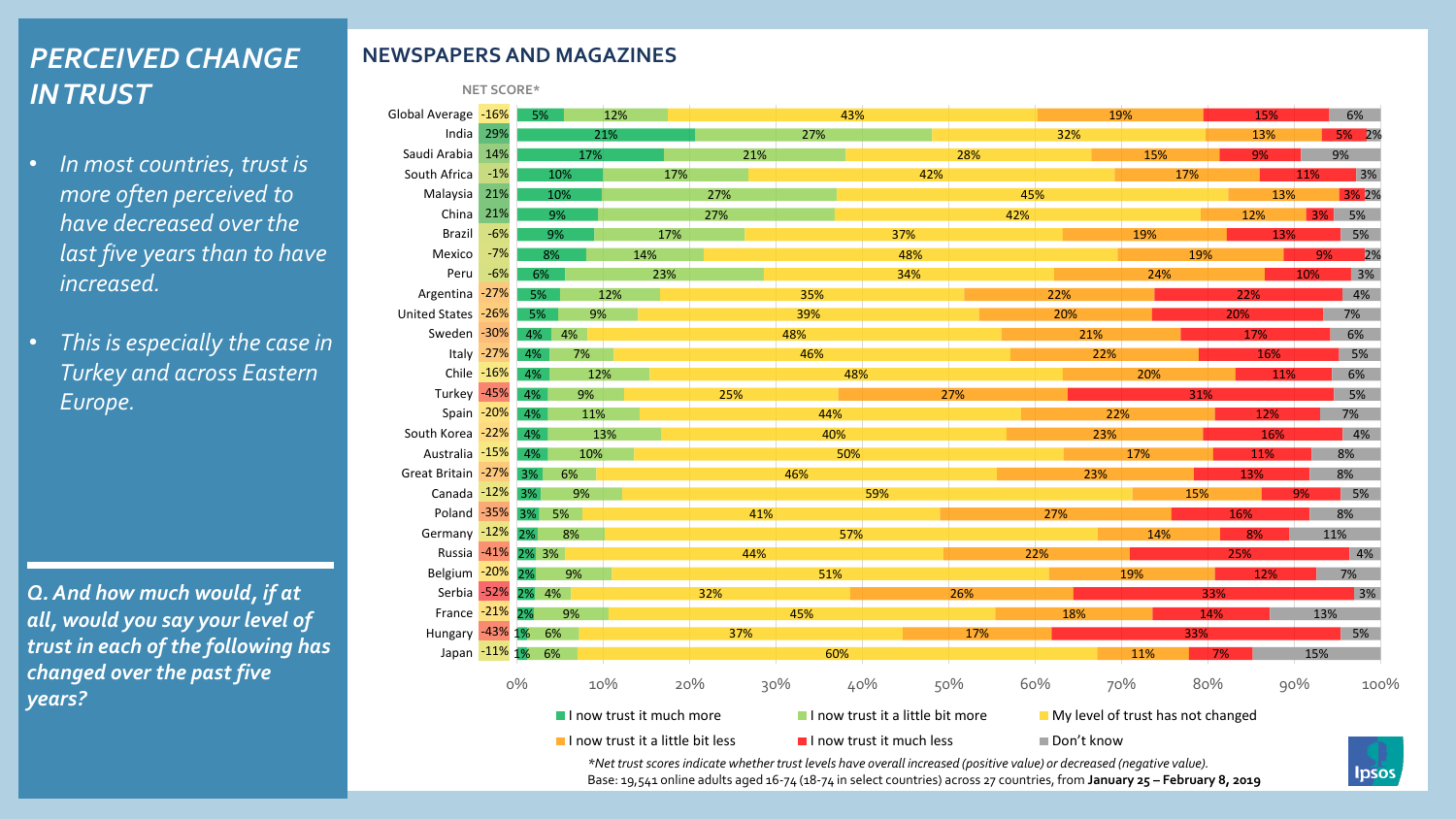# *PERCEIVED CHANGE IN TRUST*

- *In most countries, trust is more often perceived to have decreased over the last five years than to have increased.*
- *This is especially the case in Turkey and across Eastern Europe.*

*Q. And how much would, if at all, would you say your level of trust in each of the following has changed over the past five years?* 

#### **NEWSPAPERS AND MAGAZINES**

**NET SCORE\***

| Global Average -16%                                                                               |              | <b>5%</b>        |     | 12%                              |            | 43% |                          |     |            | 19%                                                                                                                       | 15% | 6%             |              |
|---------------------------------------------------------------------------------------------------|--------------|------------------|-----|----------------------------------|------------|-----|--------------------------|-----|------------|---------------------------------------------------------------------------------------------------------------------------|-----|----------------|--------------|
| India                                                                                             | 29%          |                  |     | 21%                              |            | 27% |                          |     | 32%        |                                                                                                                           | 13% | 5% 2%          |              |
| Saudi Arabia                                                                                      | 14%          |                  | 17% |                                  | 21%        |     |                          | 28% |            | 15%                                                                                                                       | 9%  | 9%             |              |
| South Africa                                                                                      | $-1%$        |                  | 10% | 17%                              |            |     | 42%                      |     |            | 17%                                                                                                                       |     | 11%            | 3%           |
| Malaysia                                                                                          | 21%          |                  | 10% |                                  | 27%        |     |                          | 45% |            |                                                                                                                           | 13% | 3% 2%          |              |
| China                                                                                             | 21%          |                  | 9%  |                                  | 27%        |     |                          | 42% |            |                                                                                                                           | 12% | 5%<br>3%       |              |
| <b>Brazil</b>                                                                                     | $-6%$        |                  | 9%  | 17%                              |            |     | 37%                      |     |            | 19%                                                                                                                       | 13% | 5%             |              |
| Mexico                                                                                            | $-7%$        | 8%               |     | 14%                              |            |     | 48%                      |     |            | 19%                                                                                                                       |     | 9%             | 2%           |
| Peru                                                                                              | $-6%$        | 6%               |     | 23%                              |            |     | 34%                      |     |            | 24%                                                                                                                       |     | 3%<br>10%      |              |
| Argentina -27%                                                                                    |              | 5%               |     | 12%                              |            | 35% |                          |     | 22%        |                                                                                                                           | 22% | 4%             |              |
| United States -26%                                                                                |              | 5%               | 9%  |                                  |            | 39% |                          |     | 20%        |                                                                                                                           | 20% | 7%             |              |
| Sweden -30%                                                                                       |              | 4% 4%            |     |                                  |            | 48% |                          |     | 21%        |                                                                                                                           | 17% | 6%             |              |
|                                                                                                   | Italy $-27%$ | 4%               | 7%  |                                  |            | 46% |                          |     | 22%        |                                                                                                                           | 16% | 5%             |              |
|                                                                                                   | Chile $-16%$ | $4\%$            | 12% |                                  |            | 48% |                          |     |            | 20%                                                                                                                       | 11% | 6%             |              |
| Turkey -45%                                                                                       |              | 4%               | 9%  |                                  | 25%        |     |                          | 27% |            | 31%                                                                                                                       |     | 5%             |              |
|                                                                                                   | Spain -20%   | 4%               | 11% |                                  |            | 44% |                          |     | 22%        |                                                                                                                           | 12% | 7%             |              |
| South Korea                                                                                       | $-22%$       | $4\%$            |     | 13%                              |            | 40% |                          |     | 23%        |                                                                                                                           | 16% | 4%             |              |
| Australia -15%                                                                                    |              | 4%               | 10% |                                  |            | 50% |                          |     |            | 17%                                                                                                                       | 11% | 8%             |              |
| Great Britain -27% 3%                                                                             |              |                  | 6%  |                                  |            | 46% |                          |     | 23%        |                                                                                                                           | 13% | 8%             |              |
| Canada -12%                                                                                       |              | 3%               | 9%  |                                  |            |     | 59%                      |     |            | 15%                                                                                                                       |     | 5%             |              |
| Poland -35% 3%                                                                                    |              |                  | 5%  |                                  | 41%        |     |                          |     | 27%        |                                                                                                                           | 16% | 8%             |              |
| Germany -12% 2%                                                                                   |              |                  | 8%  |                                  |            | 57% |                          |     |            | 14%                                                                                                                       | 8%  | 11%            |              |
| Russia -41%                                                                                       |              | 2% 3%            |     |                                  | 44%        |     |                          |     | 22%        |                                                                                                                           | 25% | $1\frac{4}{6}$ |              |
| Belgium -20%                                                                                      |              | 2%               | 9%  |                                  |            | 51% |                          |     |            | 19%                                                                                                                       | 12% | 7%             |              |
| Serbia -52%                                                                                       |              | 2% 4%            |     |                                  | 32%        |     |                          | 26% |            |                                                                                                                           | 33% |                | 3%           |
| France -21%                                                                                       |              | 2%               | 9%  |                                  |            | 45% |                          |     | 18%        |                                                                                                                           | 14% | 13%            |              |
| Hungary -43% 1% 6%                                                                                |              |                  |     |                                  | 37%        |     |                          | 17% |            | 33%                                                                                                                       |     | 5%             |              |
|                                                                                                   |              | Japan -11% 1% 6% |     |                                  |            | 60% |                          |     |            | 11%                                                                                                                       |     | 15%            |              |
|                                                                                                   |              | $0\%$            |     | 10%                              | 20%<br>30% |     | 40%                      | 50% | 60%        | 70%<br>80%                                                                                                                |     | 90%            | 100%         |
| I now trust it much more<br>I now trust it a little bit more<br>My level of trust has not changed |              |                  |     |                                  |            |     |                          |     |            |                                                                                                                           |     |                |              |
|                                                                                                   |              |                  |     | I now trust it a little bit less |            |     | I now trust it much less |     | Don't know |                                                                                                                           |     |                |              |
|                                                                                                   |              |                  |     |                                  |            |     |                          |     |            | *Net trust scores indicate whether trust levels have overall increased (positive value) or decreased (negative value).    |     |                | <b>Ipsos</b> |
|                                                                                                   |              |                  |     |                                  |            |     |                          |     |            | Base: 19,541 online adults aged 16-74 (18-74 in select countries) across 27 countries, from January 25 - February 8, 2019 |     |                |              |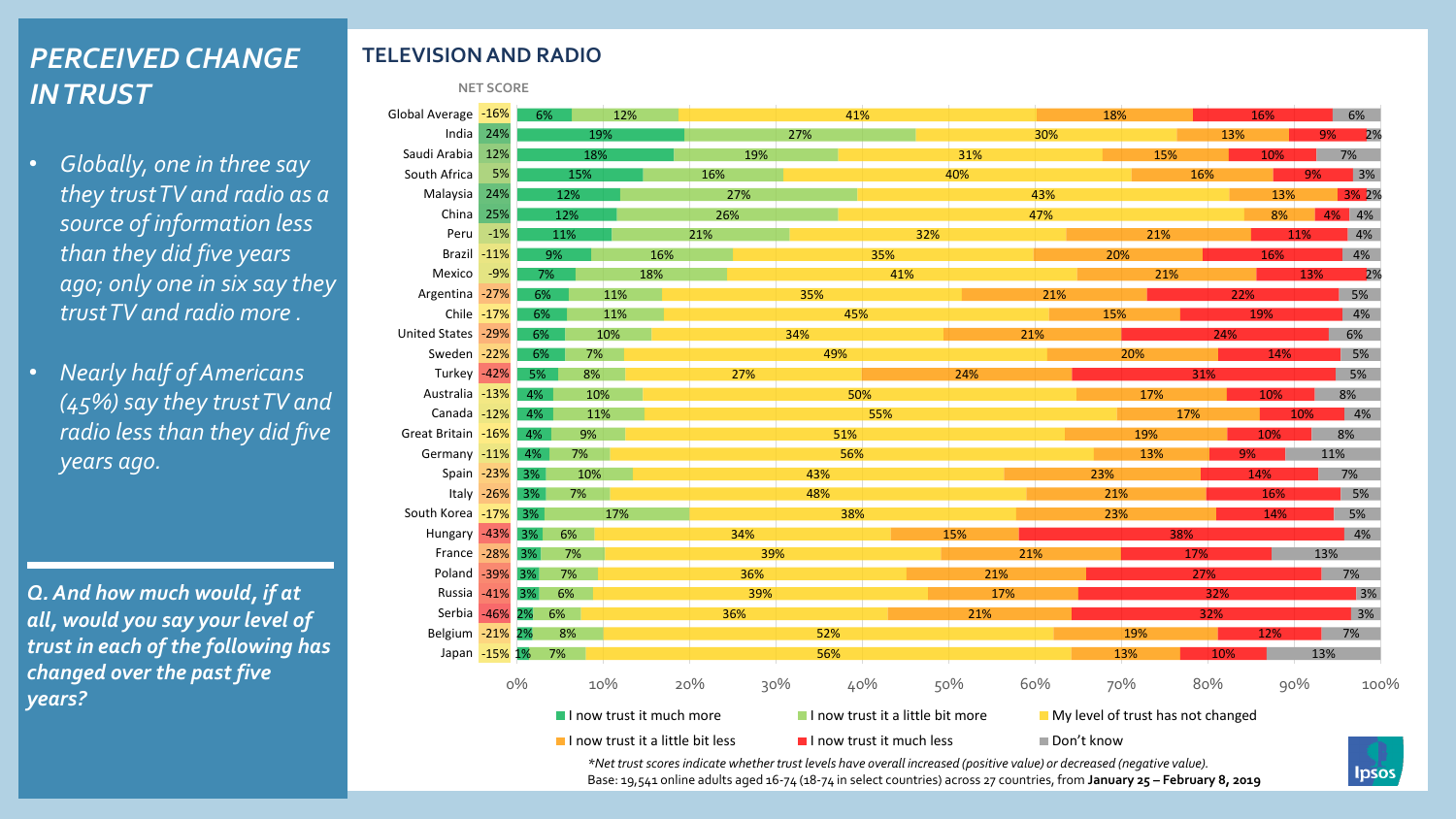# *PERCEIVED CHANGE IN TRUST*

- *Globally, one in three say they trust TV and radio as a source of information less than they did five years ago; only one in six say they trust TV and radio more .*
- *Nearly half of Americans (45%) say they trust TV and radio less than they did five years ago.*

*Q. And how much would, if at all, would you say your level of trust in each of the following has changed over the past five years?* 

### **TELEVISION AND RADIO**

**NET SCORE**

| Global Average -16%                                                                               |               | 12%<br>6% |     | 41% |                                                                                                                           | 18% |                          |     | 16%        | 6%  |     |                   |
|---------------------------------------------------------------------------------------------------|---------------|-----------|-----|-----|---------------------------------------------------------------------------------------------------------------------------|-----|--------------------------|-----|------------|-----|-----|-------------------|
| India                                                                                             | 24%           |           | 19% |     |                                                                                                                           | 27% |                          |     | 30%        |     | 13% | 2%<br>9%          |
| Saudi Arabia                                                                                      | 12%           |           | 18% |     | 19%                                                                                                                       |     |                          | 31% |            | 15% | 10% | 7%                |
| South Africa                                                                                      | 5%            |           | 15% |     | 16%                                                                                                                       |     |                          | 40% |            | 16% |     | 3%<br>9%          |
| Malaysia                                                                                          | 24%           |           | 12% |     | 27%                                                                                                                       |     |                          |     | 43%        |     | 13% | 3% 2%             |
| China                                                                                             | 25%           |           | 12% |     | 26%                                                                                                                       |     |                          |     | 47%        |     | 8%  | 4% 4%             |
| Peru                                                                                              | $-1%$         |           | 11% |     | 21%                                                                                                                       |     | 32%                      |     |            | 21% |     | 4%<br>11%         |
| Brazil -11%                                                                                       |               |           | 9%  | 16% |                                                                                                                           |     | 35%                      |     |            | 20% | 16% | 4%                |
| Mexico                                                                                            | $-9%$         | 7%        |     | 18% |                                                                                                                           |     | 41%                      |     |            | 21% |     | 13%<br>2%         |
| Argentina -27%                                                                                    |               | 6%        |     | 11% |                                                                                                                           | 35% |                          |     | 21%        |     | 22% | 5%                |
|                                                                                                   | Chile -17%    | 6%        |     | 11% |                                                                                                                           | 45% |                          |     |            | 15% | 19% | 4%                |
| United States -29%                                                                                |               | 6%        |     | 10% |                                                                                                                           | 34% |                          | 21% |            |     | 24% | 6%                |
| Sweden -22%                                                                                       |               | 6%        | 7%  |     |                                                                                                                           | 49% |                          |     |            | 20% | 14% | 5%                |
| Turkey -42%                                                                                       |               | 5%        | 8%  |     | 27%                                                                                                                       |     |                          | 24% |            |     | 31% | 5%                |
| Australia -13%                                                                                    |               | $4\%$     | 10% |     |                                                                                                                           | 50% |                          |     |            | 17% | 10% | 8%                |
| Canada -12%                                                                                       |               | 4%        | 11% |     |                                                                                                                           |     | 55%                      |     |            | 17% |     | $\vert$ 4%<br>10% |
| Great Britain -16%                                                                                |               | 4%        | 9%  |     |                                                                                                                           | 51% |                          |     |            | 19% | 10% | 8%                |
| Germany -11%                                                                                      |               | 4%        | 7%  |     |                                                                                                                           | 56% |                          |     |            | 13% | 9%  | 11%               |
|                                                                                                   | Spain -23% 3% |           | 10% |     |                                                                                                                           | 43% |                          |     | 23%        |     | 14% | 7%                |
|                                                                                                   | Italy -26% 3% |           | 7%  |     |                                                                                                                           | 48% |                          |     |            | 21% | 16% | 5%                |
| South Korea -17% 3%                                                                               |               |           |     | 17% |                                                                                                                           | 38% |                          |     |            | 23% | 14% | 5%                |
| Hungary -43% 3%                                                                                   |               |           | 6%  |     | 34%                                                                                                                       |     |                          | 15% |            | 38% |     | 4%                |
| France -28% 3%                                                                                    |               |           | 7%  |     | 39%                                                                                                                       |     |                          | 21% |            | 17% |     | 13%               |
| Poland -39%                                                                                       |               | 3%        | 7%  |     | 36%                                                                                                                       |     |                          | 21% |            |     | 27% | 7%                |
| Russia -41% 3%                                                                                    |               |           | 6%  |     | 39%                                                                                                                       |     |                          | 17% |            |     | 32% | 3%                |
| Serbia -46% 2%                                                                                    |               |           | 6%  |     | 36%                                                                                                                       |     |                          | 21% |            |     | 32% | 3%                |
| Belgium -21% 2%                                                                                   |               |           | 8%  |     |                                                                                                                           | 52% |                          |     |            | 19% | 12% | 7%                |
| Japan -15% 1%                                                                                     |               |           | 7%  |     |                                                                                                                           | 56% |                          |     |            | 13% | 10% | 13%               |
|                                                                                                   |               | $0\%$     |     | 10% | 20%<br>30%                                                                                                                |     | 40%                      | 50% | 60%        | 70% | 80% | 90%<br>100%       |
| I now trust it much more<br>I now trust it a little bit more<br>My level of trust has not changed |               |           |     |     |                                                                                                                           |     |                          |     |            |     |     |                   |
|                                                                                                   |               |           |     |     | I now trust it a little bit less                                                                                          |     | I now trust it much less |     | Don't know |     |     |                   |
|                                                                                                   |               |           |     |     | *Net trust scores indicate whether trust levels have overall increased (positive value) or decreased (negative value).    |     |                          |     |            |     |     | <b>Ipsos</b>      |
|                                                                                                   |               |           |     |     | Base: 19,541 online adults aged 16-74 (18-74 in select countries) across 27 countries, from January 25 - February 8, 2019 |     |                          |     |            |     |     |                   |